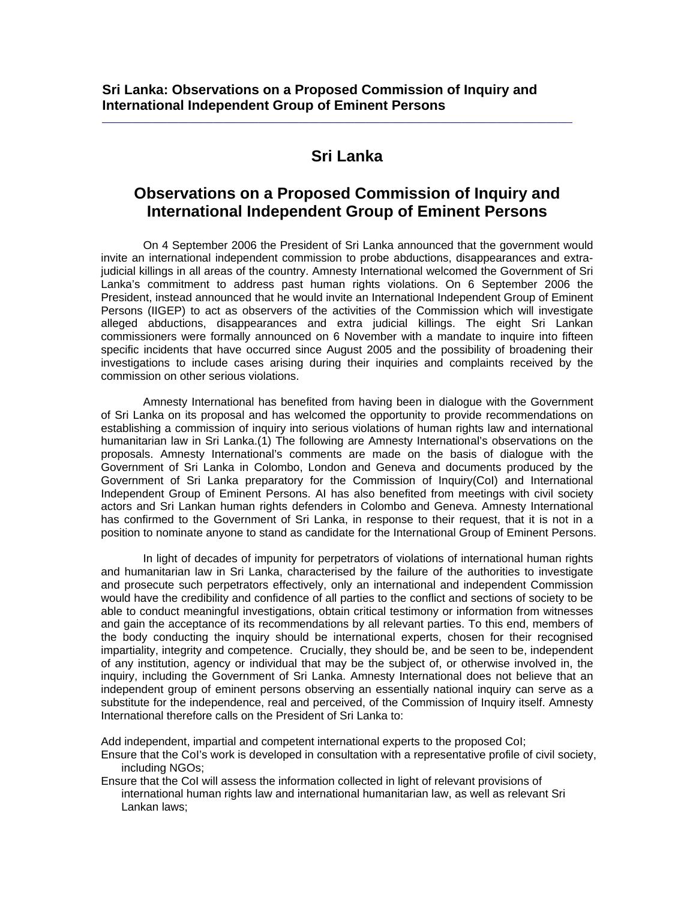## **Sri Lanka**

 $\_$  ,  $\_$  ,  $\_$  ,  $\_$  ,  $\_$  ,  $\_$  ,  $\_$  ,  $\_$  ,  $\_$  ,  $\_$  ,  $\_$  ,  $\_$  ,  $\_$  ,  $\_$  ,  $\_$  ,  $\_$  ,  $\_$  ,  $\_$  ,  $\_$  ,  $\_$ 

## **Observations on a Proposed Commission of Inquiry and International Independent Group of Eminent Persons**

 On 4 September 2006 the President of Sri Lanka announced that the government would invite an international independent commission to probe abductions, disappearances and extrajudicial killings in all areas of the country. Amnesty International welcomed the Government of Sri Lanka's commitment to address past human rights violations. On 6 September 2006 the President, instead announced that he would invite an International Independent Group of Eminent Persons (IIGEP) to act as observers of the activities of the Commission which will investigate alleged abductions, disappearances and extra judicial killings. The eight Sri Lankan commissioners were formally announced on 6 November with a mandate to inquire into fifteen specific incidents that have occurred since August 2005 and the possibility of broadening their investigations to include cases arising during their inquiries and complaints received by the commission on other serious violations.

 Amnesty International has benefited from having been in dialogue with the Government of Sri Lanka on its proposal and has welcomed the opportunity to provide recommendations on establishing a commission of inquiry into serious violations of human rights law and international humanitarian law in Sri Lanka.(1) The following are Amnesty International's observations on the proposals. Amnesty International's comments are made on the basis of dialogue with the Government of Sri Lanka in Colombo, London and Geneva and documents produced by the Government of Sri Lanka preparatory for the Commission of Inquiry(CoI) and International Independent Group of Eminent Persons. AI has also benefited from meetings with civil society actors and Sri Lankan human rights defenders in Colombo and Geneva. Amnesty International has confirmed to the Government of Sri Lanka, in response to their request, that it is not in a position to nominate anyone to stand as candidate for the International Group of Eminent Persons.

 In light of decades of impunity for perpetrators of violations of international human rights and humanitarian law in Sri Lanka, characterised by the failure of the authorities to investigate and prosecute such perpetrators effectively, only an international and independent Commission would have the credibility and confidence of all parties to the conflict and sections of society to be able to conduct meaningful investigations, obtain critical testimony or information from witnesses and gain the acceptance of its recommendations by all relevant parties. To this end, members of the body conducting the inquiry should be international experts, chosen for their recognised impartiality, integrity and competence. Crucially, they should be, and be seen to be, independent of any institution, agency or individual that may be the subject of, or otherwise involved in, the inquiry, including the Government of Sri Lanka. Amnesty International does not believe that an independent group of eminent persons observing an essentially national inquiry can serve as a substitute for the independence, real and perceived, of the Commission of Inquiry itself. Amnesty International therefore calls on the President of Sri Lanka to:

Add independent, impartial and competent international experts to the proposed CoI;

Ensure that the CoI's work is developed in consultation with a representative profile of civil society, including NGOs;

Ensure that the CoI will assess the information collected in light of relevant provisions of international human rights law and international humanitarian law, as well as relevant Sri Lankan laws;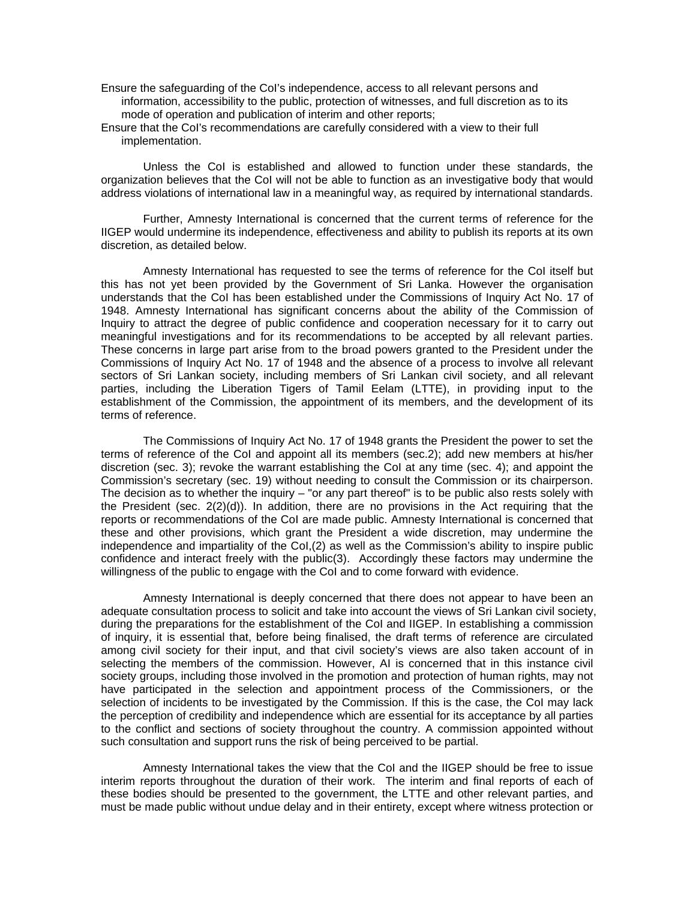- Ensure the safeguarding of the CoI's independence, access to all relevant persons and information, accessibility to the public, protection of witnesses, and full discretion as to its mode of operation and publication of interim and other reports;
- Ensure that the CoI's recommendations are carefully considered with a view to their full implementation.

 Unless the CoI is established and allowed to function under these standards, the organization believes that the CoI will not be able to function as an investigative body that would address violations of international law in a meaningful way, as required by international standards.

 Further, Amnesty International is concerned that the current terms of reference for the IIGEP would undermine its independence, effectiveness and ability to publish its reports at its own discretion, as detailed below.

 Amnesty International has requested to see the terms of reference for the CoI itself but this has not yet been provided by the Government of Sri Lanka. However the organisation understands that the CoI has been established under the Commissions of Inquiry Act No. 17 of 1948. Amnesty International has significant concerns about the ability of the Commission of Inquiry to attract the degree of public confidence and cooperation necessary for it to carry out meaningful investigations and for its recommendations to be accepted by all relevant parties. These concerns in large part arise from to the broad powers granted to the President under the Commissions of Inquiry Act No. 17 of 1948 and the absence of a process to involve all relevant sectors of Sri Lankan society, including members of Sri Lankan civil society, and all relevant parties, including the Liberation Tigers of Tamil Eelam (LTTE), in providing input to the establishment of the Commission, the appointment of its members, and the development of its terms of reference.

 The Commissions of Inquiry Act No. 17 of 1948 grants the President the power to set the terms of reference of the CoI and appoint all its members (sec.2); add new members at his/her discretion (sec. 3); revoke the warrant establishing the CoI at any time (sec. 4); and appoint the Commission's secretary (sec. 19) without needing to consult the Commission or its chairperson. The decision as to whether the inquiry – "or any part thereof" is to be public also rests solely with the President (sec. 2(2)(d)). In addition, there are no provisions in the Act requiring that the reports or recommendations of the CoI are made public. Amnesty International is concerned that these and other provisions, which grant the President a wide discretion, may undermine the independence and impartiality of the CoI,(2) as well as the Commission's ability to inspire public confidence and interact freely with the public(3). Accordingly these factors may undermine the willingness of the public to engage with the CoI and to come forward with evidence.

 Amnesty International is deeply concerned that there does not appear to have been an adequate consultation process to solicit and take into account the views of Sri Lankan civil society, during the preparations for the establishment of the CoI and IIGEP. In establishing a commission of inquiry, it is essential that, before being finalised, the draft terms of reference are circulated among civil society for their input, and that civil society's views are also taken account of in selecting the members of the commission. However, AI is concerned that in this instance civil society groups, including those involved in the promotion and protection of human rights, may not have participated in the selection and appointment process of the Commissioners, or the selection of incidents to be investigated by the Commission. If this is the case, the CoI may lack the perception of credibility and independence which are essential for its acceptance by all parties to the conflict and sections of society throughout the country. A commission appointed without such consultation and support runs the risk of being perceived to be partial.

 Amnesty International takes the view that the CoI and the IIGEP should be free to issue interim reports throughout the duration of their work. The interim and final reports of each of these bodies should be presented to the government, the LTTE and other relevant parties, and must be made public without undue delay and in their entirety, except where witness protection or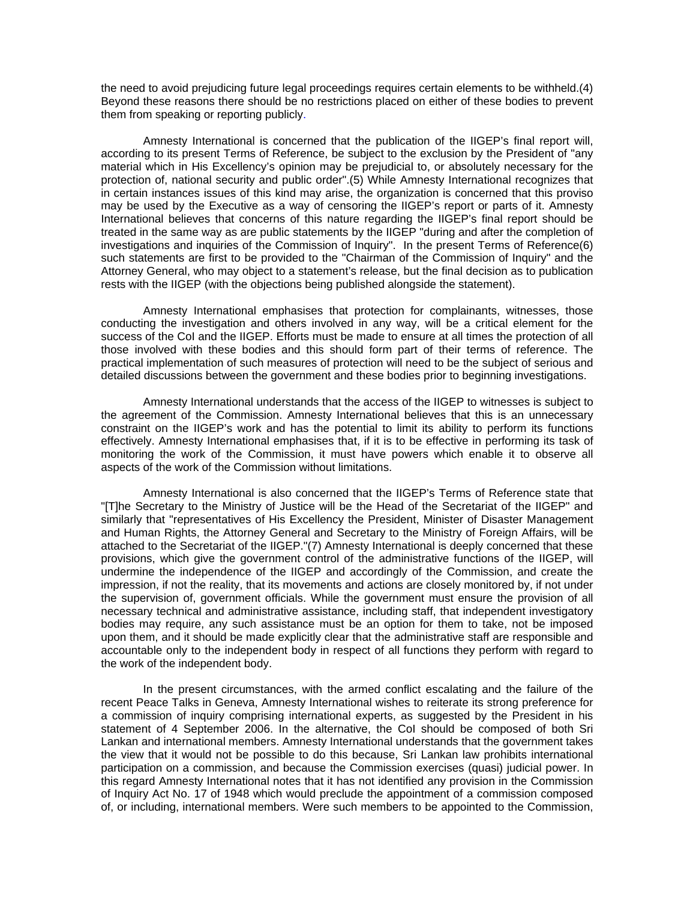the need to avoid prejudicing future legal proceedings requires certain elements to be withheld.(4) Beyond these reasons there should be no restrictions placed on either of these bodies to prevent them from speaking or reporting publicly.

 Amnesty International is concerned that the publication of the IIGEP's final report will, according to its present Terms of Reference, be subject to the exclusion by the President of "any material which in His Excellency's opinion may be prejudicial to, or absolutely necessary for the protection of, national security and public order".(5) While Amnesty International recognizes that in certain instances issues of this kind may arise, the organization is concerned that this proviso may be used by the Executive as a way of censoring the IIGEP's report or parts of it. Amnesty International believes that concerns of this nature regarding the IIGEP's final report should be treated in the same way as are public statements by the IIGEP "during and after the completion of investigations and inquiries of the Commission of Inquiry". In the present Terms of Reference(6) such statements are first to be provided to the "Chairman of the Commission of Inquiry" and the Attorney General, who may object to a statement's release, but the final decision as to publication rests with the IIGEP (with the objections being published alongside the statement).

 Amnesty International emphasises that protection for complainants, witnesses, those conducting the investigation and others involved in any way, will be a critical element for the success of the CoI and the IIGEP. Efforts must be made to ensure at all times the protection of all those involved with these bodies and this should form part of their terms of reference. The practical implementation of such measures of protection will need to be the subject of serious and detailed discussions between the government and these bodies prior to beginning investigations.

 Amnesty International understands that the access of the IIGEP to witnesses is subject to the agreement of the Commission. Amnesty International believes that this is an unnecessary constraint on the IIGEP's work and has the potential to limit its ability to perform its functions effectively. Amnesty International emphasises that, if it is to be effective in performing its task of monitoring the work of the Commission, it must have powers which enable it to observe all aspects of the work of the Commission without limitations.

 Amnesty International is also concerned that the IIGEP's Terms of Reference state that "[T]he Secretary to the Ministry of Justice will be the Head of the Secretariat of the IIGEP" and similarly that "representatives of His Excellency the President, Minister of Disaster Management and Human Rights, the Attorney General and Secretary to the Ministry of Foreign Affairs, will be attached to the Secretariat of the IIGEP."(7) Amnesty International is deeply concerned that these provisions, which give the government control of the administrative functions of the IIGEP, will undermine the independence of the IIGEP and accordingly of the Commission, and create the impression, if not the reality, that its movements and actions are closely monitored by, if not under the supervision of, government officials. While the government must ensure the provision of all necessary technical and administrative assistance, including staff, that independent investigatory bodies may require, any such assistance must be an option for them to take, not be imposed upon them, and it should be made explicitly clear that the administrative staff are responsible and accountable only to the independent body in respect of all functions they perform with regard to the work of the independent body.

 In the present circumstances, with the armed conflict escalating and the failure of the recent Peace Talks in Geneva, Amnesty International wishes to reiterate its strong preference for a commission of inquiry comprising international experts, as suggested by the President in his statement of 4 September 2006. In the alternative, the CoI should be composed of both Sri Lankan and international members. Amnesty International understands that the government takes the view that it would not be possible to do this because, Sri Lankan law prohibits international participation on a commission, and because the Commission exercises (quasi) judicial power. In this regard Amnesty International notes that it has not identified any provision in the Commission of Inquiry Act No. 17 of 1948 which would preclude the appointment of a commission composed of, or including, international members. Were such members to be appointed to the Commission,